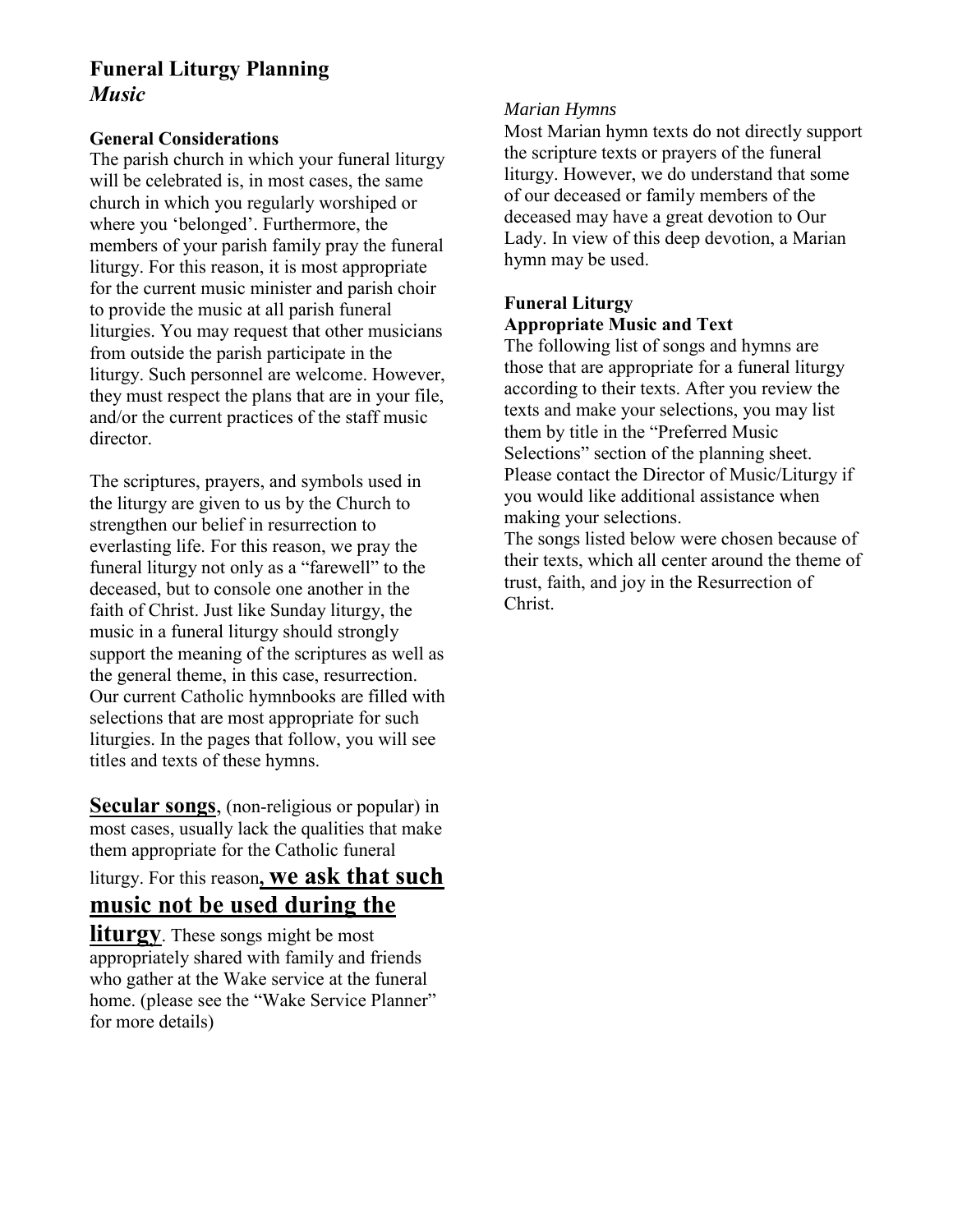# **Funeral Liturgy Planning**  *Music*

## **General Considerations**

The parish church in which your funeral liturgy will be celebrated is, in most cases, the same church in which you regularly worshiped or where you 'belonged'. Furthermore, the members of your parish family pray the funeral liturgy. For this reason, it is most appropriate for the current music minister and parish choir to provide the music at all parish funeral liturgies. You may request that other musicians from outside the parish participate in the liturgy. Such personnel are welcome. However, they must respect the plans that are in your file, and/or the current practices of the staff music director.

The scriptures, prayers, and symbols used in the liturgy are given to us by the Church to strengthen our belief in resurrection to everlasting life. For this reason, we pray the funeral liturgy not only as a "farewell" to the deceased, but to console one another in the faith of Christ. Just like Sunday liturgy, the music in a funeral liturgy should strongly support the meaning of the scriptures as well as the general theme, in this case, resurrection. Our current Catholic hymnbooks are filled with selections that are most appropriate for such liturgies. In the pages that follow, you will see titles and texts of these hymns.

**Secular songs**, (non-religious or popular) in most cases, usually lack the qualities that make them appropriate for the Catholic funeral

# liturgy. For this reason**, we ask that such music not be used during the**

**liturgy**. These songs might be most appropriately shared with family and friends who gather at the Wake service at the funeral home. (please see the "Wake Service Planner" for more details)

## *Marian Hymns*

Most Marian hymn texts do not directly support the scripture texts or prayers of the funeral liturgy. However, we do understand that some of our deceased or family members of the deceased may have a great devotion to Our Lady. In view of this deep devotion, a Marian hymn may be used.

## **Funeral Liturgy Appropriate Music and Text**

The following list of songs and hymns are those that are appropriate for a funeral liturgy according to their texts. After you review the texts and make your selections, you may list them by title in the "Preferred Music Selections" section of the planning sheet. Please contact the Director of Music/Liturgy if you would like additional assistance when making your selections.

The songs listed below were chosen because of their texts, which all center around the theme of trust, faith, and joy in the Resurrection of Christ.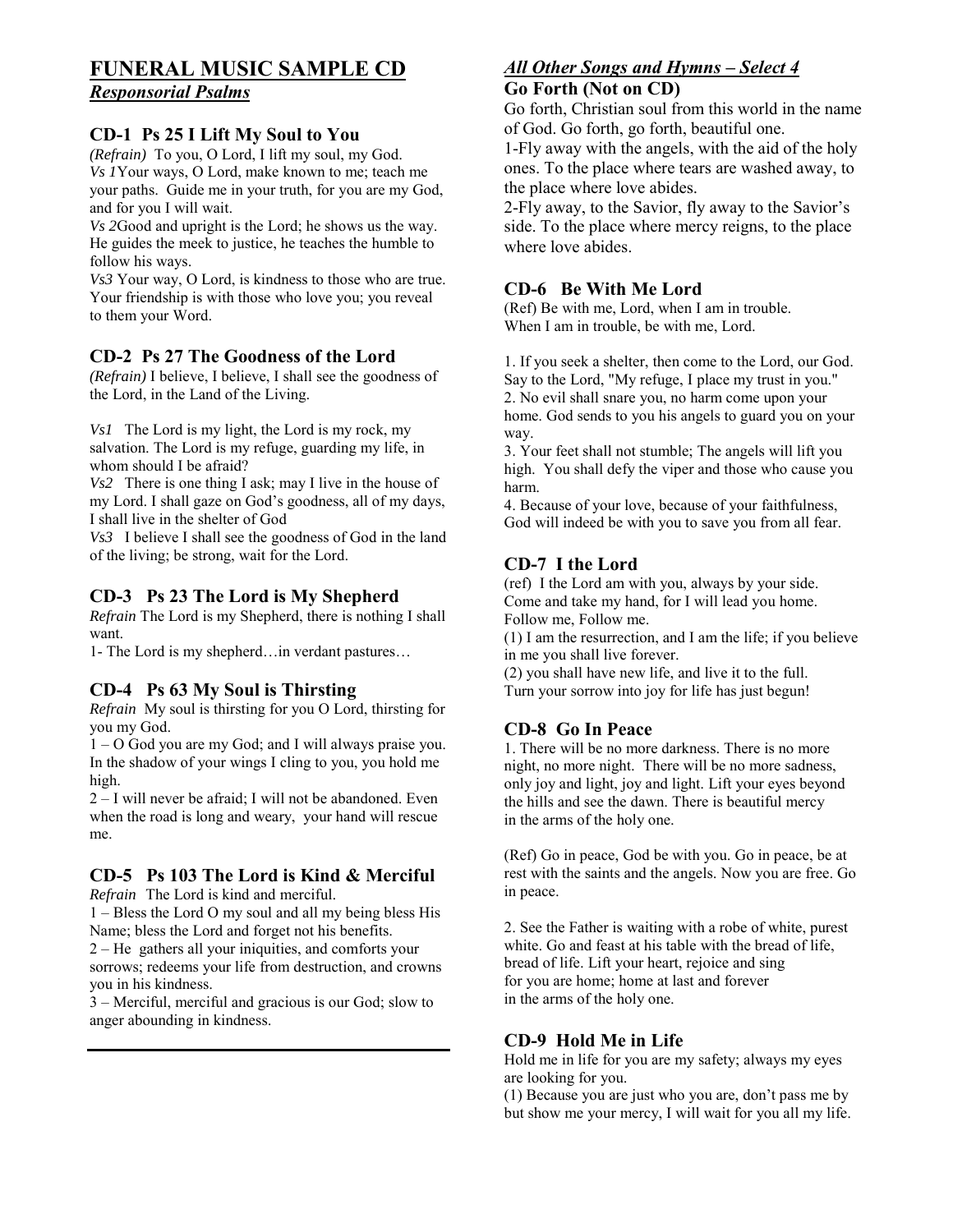# **FUNERAL MUSIC SAMPLE CD**

## *Responsorial Psalms*

#### **CD-1 Ps 25 I Lift My Soul to You**

*(Refrain)* To you, O Lord, I lift my soul, my God. *Vs 1*Your ways, O Lord, make known to me; teach me your paths. Guide me in your truth, for you are my God, and for you I will wait.

*Vs 2*Good and upright is the Lord; he shows us the way. He guides the meek to justice, he teaches the humble to follow his ways.

*Vs3* Your way, O Lord, is kindness to those who are true. Your friendship is with those who love you; you reveal to them your Word.

#### **CD-2 Ps 27 The Goodness of the Lord**

*(Refrain)* I believe, I believe, I shall see the goodness of the Lord, in the Land of the Living.

*Vs1* The Lord is my light, the Lord is my rock, my salvation. The Lord is my refuge, guarding my life, in whom should I be afraid?

*Vs2* There is one thing I ask; may I live in the house of my Lord. I shall gaze on God's goodness, all of my days, I shall live in the shelter of God

*Vs3* I believe I shall see the goodness of God in the land of the living; be strong, wait for the Lord.

#### **CD-3 Ps 23 The Lord is My Shepherd**

*Refrain* The Lord is my Shepherd, there is nothing I shall want.

1- The Lord is my shepherd…in verdant pastures…

#### **CD-4 Ps 63 My Soul is Thirsting**

*Refrain* My soul is thirsting for you O Lord, thirsting for you my God.

1 – O God you are my God; and I will always praise you. In the shadow of your wings I cling to you, you hold me high.

2 – I will never be afraid; I will not be abandoned. Even when the road is long and weary, your hand will rescue me.

# **CD-5 Ps 103 The Lord is Kind & Merciful**

*Refrain*The Lord is kind and merciful.

1 – Bless the Lord O my soul and all my being bless His Name; bless the Lord and forget not his benefits.

2 – He gathers all your iniquities, and comforts your sorrows; redeems your life from destruction, and crowns you in his kindness.

3 – Merciful, merciful and gracious is our God; slow to anger abounding in kindness.

#### *All Other Songs and Hymns – Select 4*  **Go Forth (Not on CD)**

Go forth, Christian soul from this world in the name of God. Go forth, go forth, beautiful one.

1-Fly away with the angels, with the aid of the holy ones. To the place where tears are washed away, to the place where love abides.

2-Fly away, to the Savior, fly away to the Savior's side. To the place where mercy reigns, to the place where love abides.

#### **CD-6 Be With Me Lord**

(Ref) Be with me, Lord, when I am in trouble. When I am in trouble, be with me, Lord.

1. If you seek a shelter, then come to the Lord, our God. Say to the Lord, "My refuge, I place my trust in you." 2. No evil shall snare you, no harm come upon your home. God sends to you his angels to guard you on your way.

3. Your feet shall not stumble; The angels will lift you high. You shall defy the viper and those who cause you harm.

4. Because of your love, because of your faithfulness, God will indeed be with you to save you from all fear.

## **CD-7 I the Lord**

(ref) I the Lord am with you, always by your side. Come and take my hand, for I will lead you home. Follow me, Follow me.

(1) I am the resurrection, and I am the life; if you believe in me you shall live forever.

(2) you shall have new life, and live it to the full. Turn your sorrow into joy for life has just begun!

## **CD-8 Go In Peace**

1. There will be no more darkness. There is no more night, no more night. There will be no more sadness, only joy and light, joy and light. Lift your eyes beyond the hills and see the dawn. There is beautiful mercy in the arms of the holy one.

(Ref) Go in peace, God be with you. Go in peace, be at rest with the saints and the angels. Now you are free. Go in peace.

2. See the Father is waiting with a robe of white, purest white. Go and feast at his table with the bread of life, bread of life. Lift your heart, rejoice and sing for you are home; home at last and forever in the arms of the holy one.

## **CD-9 Hold Me in Life**

Hold me in life for you are my safety; always my eyes are looking for you.

(1) Because you are just who you are, don't pass me by but show me your mercy, I will wait for you all my life.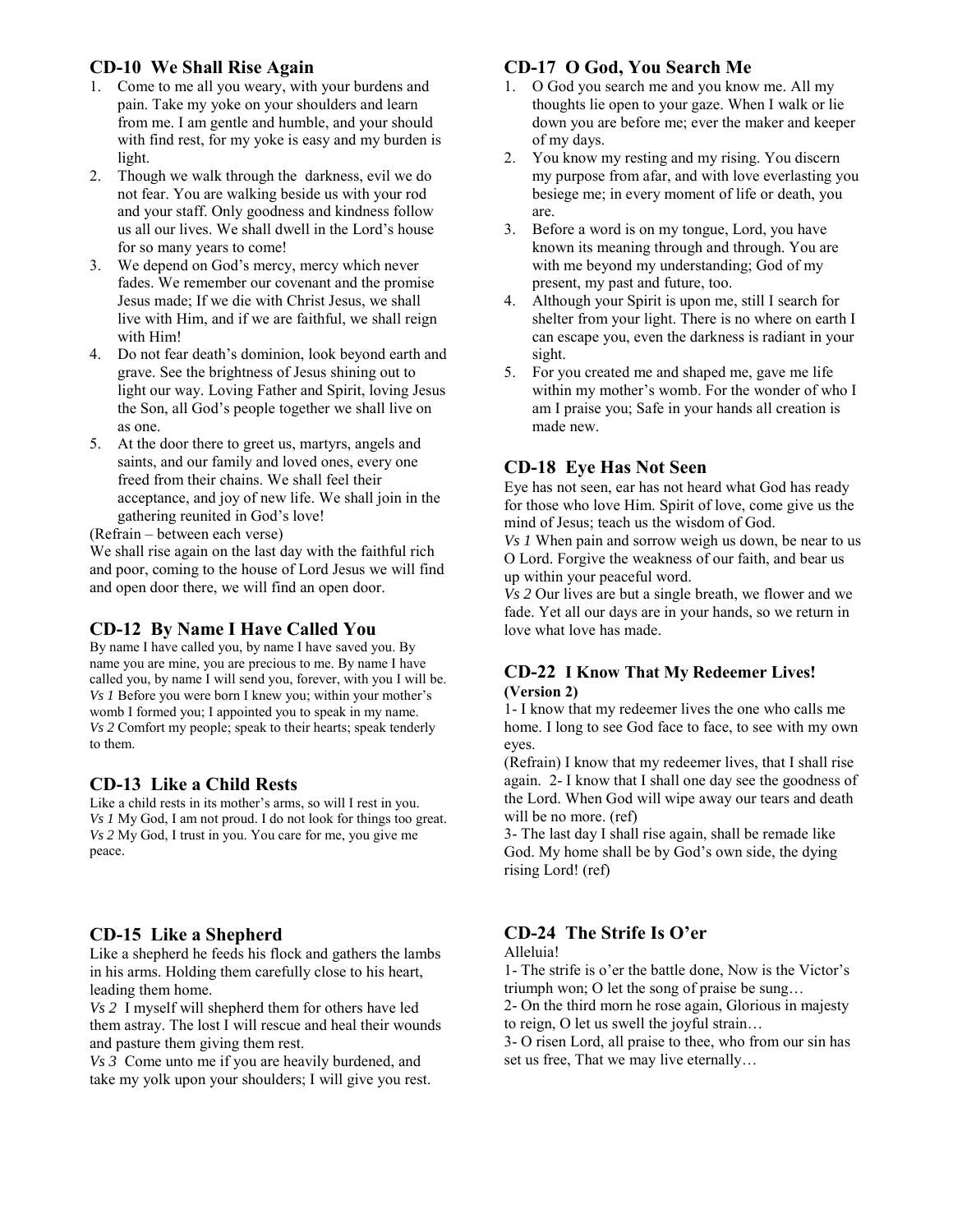## **CD-10 We Shall Rise Again**

- 1. Come to me all you weary, with your burdens and pain. Take my yoke on your shoulders and learn from me. I am gentle and humble, and your should with find rest, for my yoke is easy and my burden is light.
- 2. Though we walk through the darkness, evil we do not fear. You are walking beside us with your rod and your staff. Only goodness and kindness follow us all our lives. We shall dwell in the Lord's house for so many years to come!
- 3. We depend on God's mercy, mercy which never fades. We remember our covenant and the promise Jesus made; If we die with Christ Jesus, we shall live with Him, and if we are faithful, we shall reign with Him!
- 4. Do not fear death's dominion, look beyond earth and grave. See the brightness of Jesus shining out to light our way. Loving Father and Spirit, loving Jesus the Son, all God's people together we shall live on as one.
- 5. At the door there to greet us, martyrs, angels and saints, and our family and loved ones, every one freed from their chains. We shall feel their acceptance, and joy of new life. We shall join in the gathering reunited in God's love!

(Refrain – between each verse)

We shall rise again on the last day with the faithful rich and poor, coming to the house of Lord Jesus we will find and open door there, we will find an open door.

## **CD-12 By Name I Have Called You**

By name I have called you, by name I have saved you. By name you are mine, you are precious to me. By name I have called you, by name I will send you, forever, with you I will be. *Vs 1* Before you were born I knew you; within your mother's womb I formed you; I appointed you to speak in my name. *Vs 2* Comfort my people; speak to their hearts; speak tenderly to them.

## **CD-13 Like a Child Rests**

Like a child rests in its mother's arms, so will I rest in you. *Vs 1* My God, I am not proud. I do not look for things too great. *Vs 2* My God, I trust in you. You care for me, you give me peace.

## **CD-15 Like a Shepherd**

Like a shepherd he feeds his flock and gathers the lambs in his arms. Holding them carefully close to his heart, leading them home.

*Vs 2* I myself will shepherd them for others have led them astray. The lost I will rescue and heal their wounds and pasture them giving them rest.

*Vs 3* Come unto me if you are heavily burdened, and take my yolk upon your shoulders; I will give you rest.

#### **CD-17 O God, You Search Me**

- 1. O God you search me and you know me. All my thoughts lie open to your gaze. When I walk or lie down you are before me; ever the maker and keeper of my days.
- 2. You know my resting and my rising. You discern my purpose from afar, and with love everlasting you besiege me; in every moment of life or death, you are.
- 3. Before a word is on my tongue, Lord, you have known its meaning through and through. You are with me beyond my understanding; God of my present, my past and future, too.
- 4. Although your Spirit is upon me, still I search for shelter from your light. There is no where on earth I can escape you, even the darkness is radiant in your sight.
- 5. For you created me and shaped me, gave me life within my mother's womb. For the wonder of who I am I praise you; Safe in your hands all creation is made new.

## **CD-18 Eye Has Not Seen**

Eye has not seen, ear has not heard what God has ready for those who love Him. Spirit of love, come give us the mind of Jesus; teach us the wisdom of God.

*Vs 1* When pain and sorrow weigh us down, be near to us O Lord. Forgive the weakness of our faith, and bear us up within your peaceful word.

*Vs 2* Our lives are but a single breath, we flower and we fade. Yet all our days are in your hands, so we return in love what love has made.

#### **CD-22 I Know That My Redeemer Lives! (Version 2)**

1- I know that my redeemer lives the one who calls me home. I long to see God face to face, to see with my own eyes.

(Refrain) I know that my redeemer lives, that I shall rise again. 2- I know that I shall one day see the goodness of the Lord. When God will wipe away our tears and death will be no more. (ref)

3- The last day I shall rise again, shall be remade like God. My home shall be by God's own side, the dying rising Lord! (ref)

## **CD-24 The Strife Is O'er**

#### Alleluia!

1- The strife is o'er the battle done, Now is the Victor's triumph won; O let the song of praise be sung…

2- On the third morn he rose again, Glorious in majesty to reign, O let us swell the joyful strain…

3- O risen Lord, all praise to thee, who from our sin has set us free, That we may live eternally…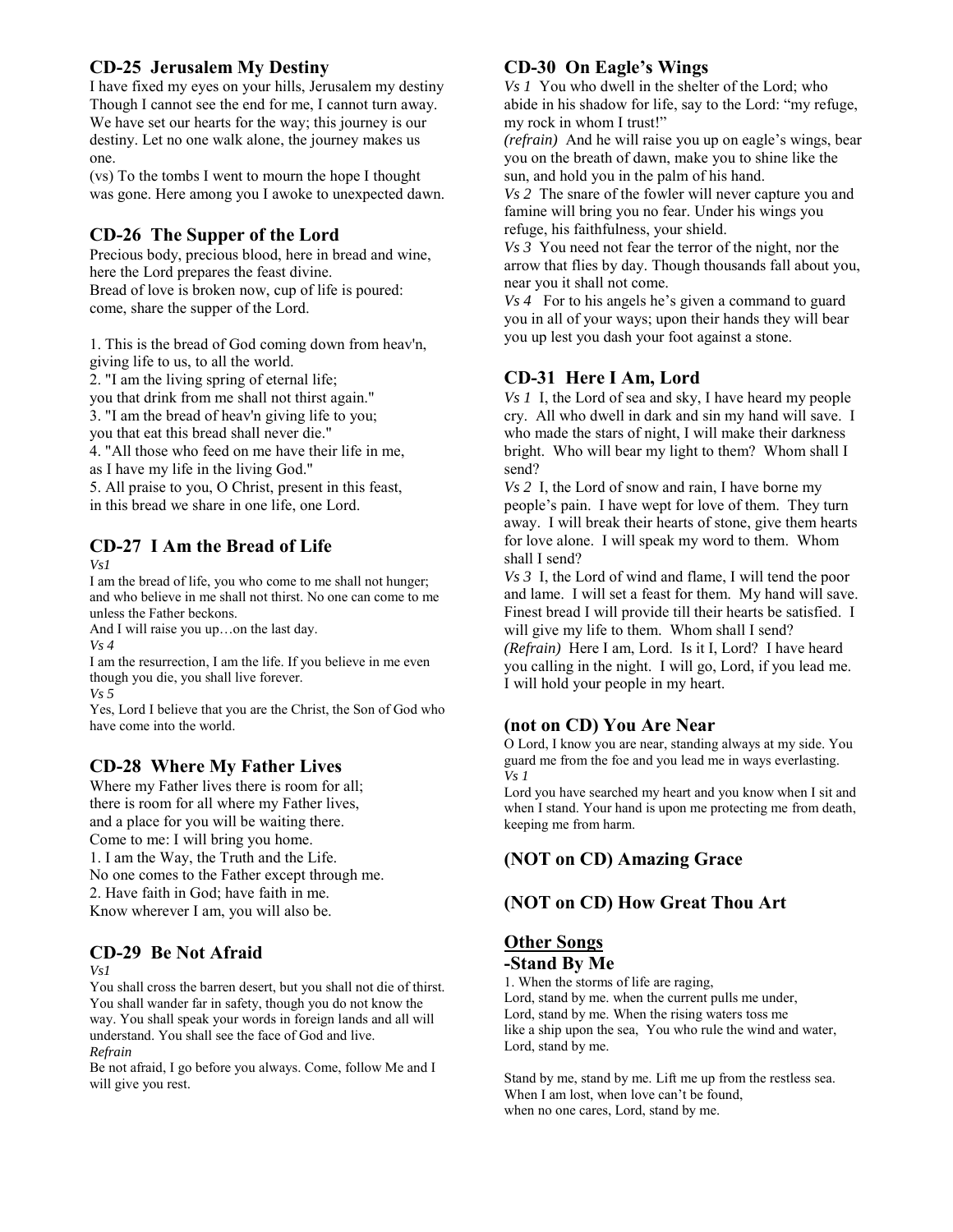## **CD-25 Jerusalem My Destiny**

I have fixed my eyes on your hills, Jerusalem my destiny Though I cannot see the end for me, I cannot turn away. We have set our hearts for the way; this journey is our destiny. Let no one walk alone, the journey makes us one.

(vs) To the tombs I went to mourn the hope I thought was gone. Here among you I awoke to unexpected dawn.

## **CD-26 The Supper of the Lord**

Precious body, precious blood, here in bread and wine, here the Lord prepares the feast divine. Bread of love is broken now, cup of life is poured: come, share the supper of the Lord.

1. This is the bread of God coming down from heav'n, giving life to us, to all the world. 2. "I am the living spring of eternal life;

you that drink from me shall not thirst again."

3. "I am the bread of heav'n giving life to you;

you that eat this bread shall never die."

4. "All those who feed on me have their life in me,

as I have my life in the living God."

5. All praise to you, O Christ, present in this feast, in this bread we share in one life, one Lord.

# **CD-27 I Am the Bread of Life**

*Vs1* 

I am the bread of life, you who come to me shall not hunger; and who believe in me shall not thirst. No one can come to me unless the Father beckons.

And I will raise you up…on the last day.

*Vs 4* 

I am the resurrection, I am the life. If you believe in me even though you die, you shall live forever.

*Vs 5* 

Yes, Lord I believe that you are the Christ, the Son of God who have come into the world.

## **CD-28 Where My Father Lives**

Where my Father lives there is room for all; there is room for all where my Father lives, and a place for you will be waiting there. Come to me: I will bring you home. 1. I am the Way, the Truth and the Life. No one comes to the Father except through me. 2. Have faith in God; have faith in me. Know wherever I am, you will also be.

## **CD-29 Be Not Afraid**

*Vs1* 

You shall cross the barren desert, but you shall not die of thirst. You shall wander far in safety, though you do not know the way. You shall speak your words in foreign lands and all will understand. You shall see the face of God and live. *Refrain* 

Be not afraid, I go before you always. Come, follow Me and I will give you rest.

## **CD-30 On Eagle's Wings**

*Vs 1* You who dwell in the shelter of the Lord; who abide in his shadow for life, say to the Lord: "my refuge, my rock in whom I trust!"

*(refrain)* And he will raise you up on eagle's wings, bear you on the breath of dawn, make you to shine like the sun, and hold you in the palm of his hand.

*Vs 2* The snare of the fowler will never capture you and famine will bring you no fear. Under his wings you refuge, his faithfulness, your shield.

*Vs 3* You need not fear the terror of the night, nor the arrow that flies by day. Though thousands fall about you, near you it shall not come.

*Vs 4* For to his angels he's given a command to guard you in all of your ways; upon their hands they will bear you up lest you dash your foot against a stone.

## **CD-31 Here I Am, Lord**

*Vs 1* I, the Lord of sea and sky, I have heard my people cry. All who dwell in dark and sin my hand will save. I who made the stars of night, I will make their darkness bright. Who will bear my light to them? Whom shall I send?

*Vs 2* I, the Lord of snow and rain, I have borne my people's pain. I have wept for love of them. They turn away. I will break their hearts of stone, give them hearts for love alone. I will speak my word to them. Whom shall I send?

*Vs 3* I, the Lord of wind and flame, I will tend the poor and lame. I will set a feast for them. My hand will save. Finest bread I will provide till their hearts be satisfied. I will give my life to them. Whom shall I send?

*(Refrain)* Here I am, Lord. Is it I, Lord? I have heard you calling in the night. I will go, Lord, if you lead me. I will hold your people in my heart.

## **(not on CD) You Are Near**

O Lord, I know you are near, standing always at my side. You guard me from the foe and you lead me in ways everlasting. *Vs 1* 

Lord you have searched my heart and you know when I sit and when I stand. Your hand is upon me protecting me from death, keeping me from harm.

## **(NOT on CD) Amazing Grace**

## **(NOT on CD) How Great Thou Art**

#### **Other Songs -Stand By Me**

1. When the storms of life are raging, Lord, stand by me. when the current pulls me under, Lord, stand by me. When the rising waters toss me like a ship upon the sea, You who rule the wind and water, Lord, stand by me.

Stand by me, stand by me. Lift me up from the restless sea. When I am lost, when love can't be found, when no one cares, Lord, stand by me.